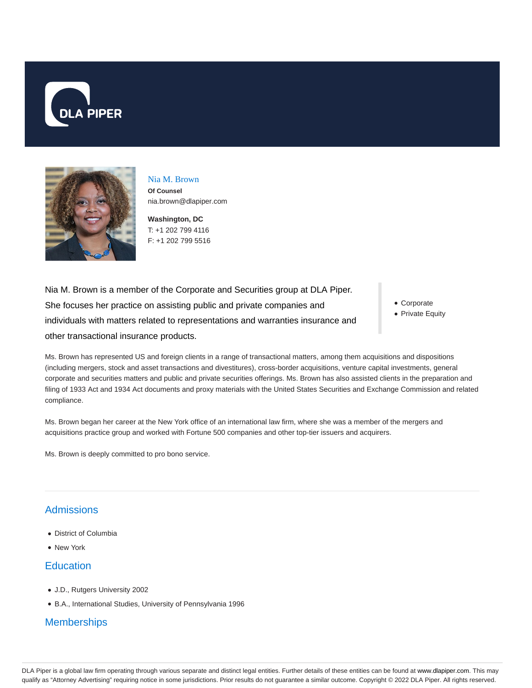



## Nia M. Brown **Of Counsel**

nia.brown@dlapiper.com

**Washington, DC** T: +1 202 799 4116 F: +1 202 799 5516

Nia M. Brown is a member of the Corporate and Securities group at DLA Piper. She focuses her practice on assisting public and private companies and individuals with matters related to representations and warranties insurance and other transactional insurance products.

• Corporate

• Private Equity

Ms. Brown has represented US and foreign clients in a range of transactional matters, among them acquisitions and dispositions (including mergers, stock and asset transactions and divestitures), cross-border acquisitions, venture capital investments, general corporate and securities matters and public and private securities offerings. Ms. Brown has also assisted clients in the preparation and filing of 1933 Act and 1934 Act documents and proxy materials with the United States Securities and Exchange Commission and related compliance.

Ms. Brown began her career at the New York office of an international law firm, where she was a member of the mergers and acquisitions practice group and worked with Fortune 500 companies and other top-tier issuers and acquirers.

Ms. Brown is deeply committed to pro bono service.

# **Admissions**

- District of Columbia
- New York

# **Education**

- J.D., Rutgers University 2002
- B.A., International Studies, University of Pennsylvania 1996

# **Memberships**

DLA Piper is a global law firm operating through various separate and distinct legal entities. Further details of these entities can be found at www.dlapiper.com. This may qualify as "Attorney Advertising" requiring notice in some jurisdictions. Prior results do not guarantee a similar outcome. Copyright © 2022 DLA Piper. All rights reserved.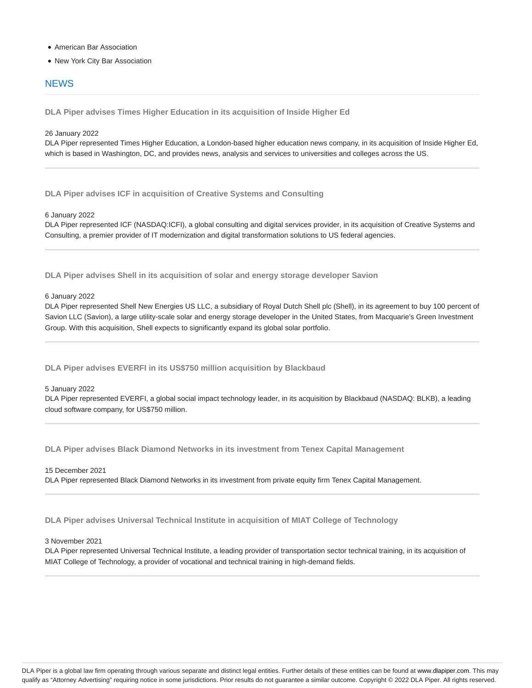- American Bar Association
- New York City Bar Association

### **NEWS**

**DLA Piper advises Times Higher Education in its acquisition of Inside Higher Ed**

26 January 2022

DLA Piper represented Times Higher Education, a London-based higher education news company, in its acquisition of Inside Higher Ed, which is based in Washington, DC, and provides news, analysis and services to universities and colleges across the US.

**DLA Piper advises ICF in acquisition of Creative Systems and Consulting**

#### 6 January 2022

DLA Piper represented ICF (NASDAQ:ICFI), a global consulting and digital services provider, in its acquisition of Creative Systems and Consulting, a premier provider of IT modernization and digital transformation solutions to US federal agencies.

**DLA Piper advises Shell in its acquisition of solar and energy storage developer Savion**

6 January 2022

DLA Piper represented Shell New Energies US LLC, a subsidiary of Royal Dutch Shell plc (Shell), in its agreement to buy 100 percent of Savion LLC (Savion), a large utility-scale solar and energy storage developer in the United States, from Macquarie's Green Investment Group. With this acquisition, Shell expects to significantly expand its global solar portfolio.

**DLA Piper advises EVERFI in its US\$750 million acquisition by Blackbaud**

5 January 2022

DLA Piper represented EVERFI, a global social impact technology leader, in its acquisition by Blackbaud (NASDAQ: BLKB), a leading cloud software company, for US\$750 million.

**DLA Piper advises Black Diamond Networks in its investment from Tenex Capital Management**

15 December 2021 DLA Piper represented Black Diamond Networks in its investment from private equity firm Tenex Capital Management.

**DLA Piper advises Universal Technical Institute in acquisition of MIAT College of Technology**

3 November 2021

DLA Piper represented Universal Technical Institute, a leading provider of transportation sector technical training, in its acquisition of MIAT College of Technology, a provider of vocational and technical training in high-demand fields.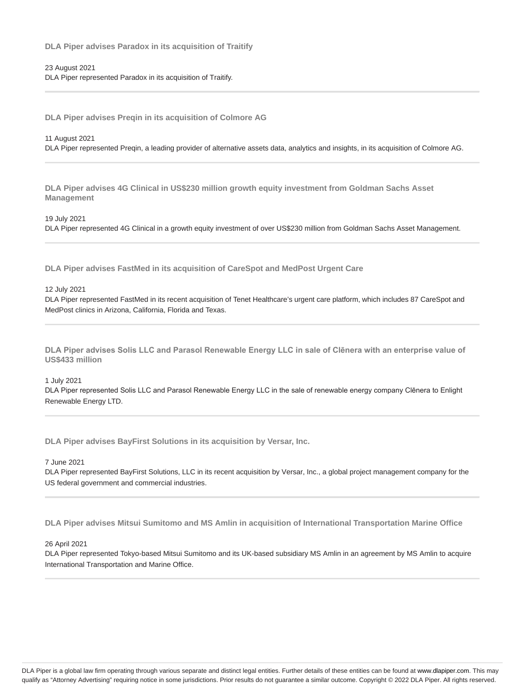**DLA Piper advises Paradox in its acquisition of Traitify**

### 23 August 2021 DLA Piper represented Paradox in its acquisition of Traitify.

**DLA Piper advises Preqin in its acquisition of Colmore AG**

#### 11 August 2021

DLA Piper represented Preqin, a leading provider of alternative assets data, analytics and insights, in its acquisition of Colmore AG.

**DLA Piper advises 4G Clinical in US\$230 million growth equity investment from Goldman Sachs Asset Management**

19 July 2021 DLA Piper represented 4G Clinical in a growth equity investment of over US\$230 million from Goldman Sachs Asset Management.

**DLA Piper advises FastMed in its acquisition of CareSpot and MedPost Urgent Care**

#### 12 July 2021

DLA Piper represented FastMed in its recent acquisition of Tenet Healthcare's urgent care platform, which includes 87 CareSpot and MedPost clinics in Arizona, California, Florida and Texas.

**DLA Piper advises Solis LLC and Parasol Renewable Energy LLC in sale of Clēnera with an enterprise value of US\$433 million**

#### 1 July 2021

DLA Piper represented Solis LLC and Parasol Renewable Energy LLC in the sale of renewable energy company Clēnera to Enlight Renewable Energy LTD.

**DLA Piper advises BayFirst Solutions in its acquisition by Versar, Inc.**

7 June 2021

DLA Piper represented BayFirst Solutions, LLC in its recent acquisition by Versar, Inc., a global project management company for the US federal government and commercial industries.

**DLA Piper advises Mitsui Sumitomo and MS Amlin in acquisition of International Transportation Marine Office**

#### 26 April 2021

DLA Piper represented Tokyo-based Mitsui Sumitomo and its UK-based subsidiary MS Amlin in an agreement by MS Amlin to acquire International Transportation and Marine Office.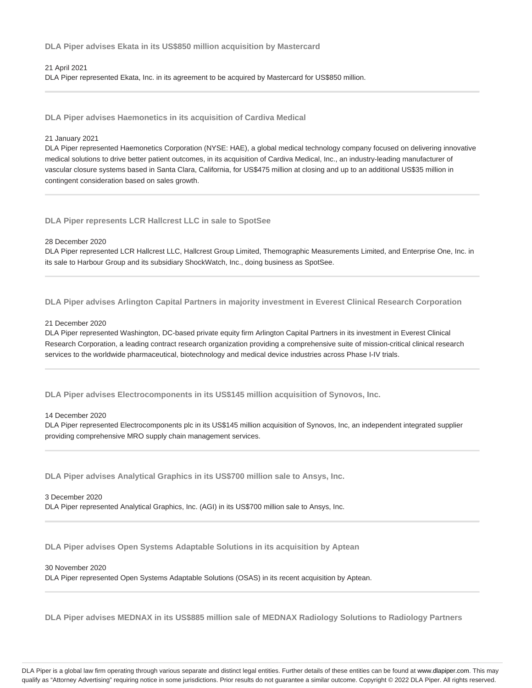**DLA Piper advises Ekata in its US\$850 million acquisition by Mastercard**

#### 21 April 2021

DLA Piper represented Ekata, Inc. in its agreement to be acquired by Mastercard for US\$850 million.

**DLA Piper advises Haemonetics in its acquisition of Cardiva Medical**

### 21 January 2021

DLA Piper represented Haemonetics Corporation (NYSE: HAE), a global medical technology company focused on delivering innovative medical solutions to drive better patient outcomes, in its acquisition of Cardiva Medical, Inc., an industry-leading manufacturer of vascular closure systems based in Santa Clara, California, for US\$475 million at closing and up to an additional US\$35 million in contingent consideration based on sales growth.

**DLA Piper represents LCR Hallcrest LLC in sale to SpotSee**

#### 28 December 2020

DLA Piper represented LCR Hallcrest LLC, Hallcrest Group Limited, Themographic Measurements Limited, and Enterprise One, Inc. in its sale to Harbour Group and its subsidiary ShockWatch, Inc., doing business as SpotSee.

**DLA Piper advises Arlington Capital Partners in majority investment in Everest Clinical Research Corporation**

#### 21 December 2020

DLA Piper represented Washington, DC-based private equity firm Arlington Capital Partners in its investment in Everest Clinical Research Corporation, a leading contract research organization providing a comprehensive suite of mission-critical clinical research services to the worldwide pharmaceutical, biotechnology and medical device industries across Phase I-IV trials.

**DLA Piper advises Electrocomponents in its US\$145 million acquisition of Synovos, Inc.**

#### 14 December 2020

DLA Piper represented Electrocomponents plc in its US\$145 million acquisition of Synovos, Inc, an independent integrated supplier providing comprehensive MRO supply chain management services.

**DLA Piper advises Analytical Graphics in its US\$700 million sale to Ansys, Inc.**

#### 3 December 2020

DLA Piper represented Analytical Graphics, Inc. (AGI) in its US\$700 million sale to Ansys, Inc.

**DLA Piper advises Open Systems Adaptable Solutions in its acquisition by Aptean**

#### 30 November 2020

DLA Piper represented Open Systems Adaptable Solutions (OSAS) in its recent acquisition by Aptean.

**DLA Piper advises MEDNAX in its US\$885 million sale of MEDNAX Radiology Solutions to Radiology Partners**